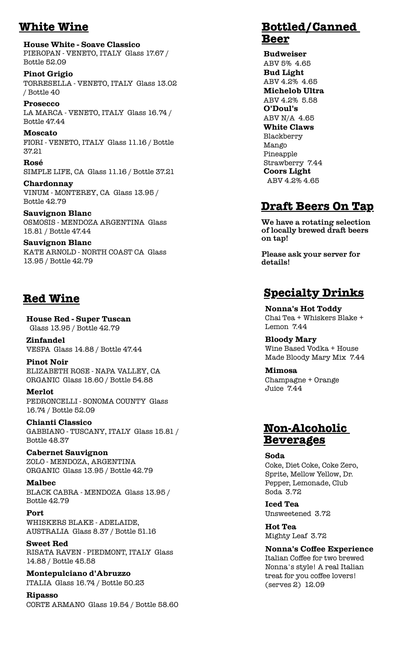## **White Wine**

**House White - Soave Classico** PIEROPAN - VENETO, ITALY Glass 17.67 / Bottle 52.09

**Pinot Grigio** TORRESELLA - VENETO, ITALY Glass 13.02 / Bottle 40

**Prosecco** LA MARCA - VENETO, ITALY Glass 16.74 / Bottle 47.44

**Moscato** FIORI - VENETO, ITALY Glass 11.16 / Bottle 37.21

Rosé SIMPLE LIFE, CA Glass 11.16 / Bottle 37.21

Chardonnay VINUM - MONTEREY, CA Glass 13.95 / Bottle 42.79

**Sauvignon Blanc** OSMOSIS - MENDOZA ARGENTINA Glass 15.81 / Bottle 47.44

**Sauvignon Blanc** KATE ARNOLD - NORTH COAST CA Glass 13.95 / Bottle 42.79

### **Red Wine**

**House Red - Super Tuscan** Glass 13.95 / Bottle 42.79

**Zinfandel** VESPA Glass 14.88 / Bottle 47.44

**Pinot Noir** ELIZABETH ROSE - NAPA VALLEY, CA ORGANIC Glass 18.60 / Bottle 54.88

**Merlot** PEDRONCELLI - SONOMA COUNTY Glass 16.74 / Bottle 52.09

**Chianti Classico**  $\operatorname{GABBIANO}$  - TUSCANY, ITALY Glass 15.81 / **Bottle 48.37** 

**Cabernet Sauvignon** ZOLO - MENDOZA, ARGENTINA ORGANIC Glass 13.95 / Bottle 42.79

**Malbec** BLACK CABRA - MENDOZA Glass 13.95 / Bottle 42.79

Port WHISKERS BLAKE - ADELAIDE, AUSTRALIA Glass $8.37\,/\,$  Bottle  $51.16\,$ 

**Sweet Red** RISATA RAVEN - PIEDMONT, ITALY Glass 14.88 / Bottle 45.58

Montepulciano d'Abruzzo ITALIA Glass 16.74 / Bottle 50.23

**Ripasso** CORTE ARMANO Glass 19.54 / Bottle 58.60

#### **Bottled/Canned Beer**

**Budweiser** ABV 5% 4.65 **Bud Light** ABV 4.2% 4.65 **Michelob Ultra** ABV 4.2% 5.58 O'Doul's ABV N/A 4.65 **White Claws** Blackberry Mango Pineapple Strawberry 7.44 **Coors Light** ABV 4.2% 4.65

### **Draft Beers On Tap**

We have a rotating selection of locally brewed draft beers on tap!

Please ask your server for details!

## **Specialty Drinks**

**Nonna's Hot Toddy** Chai Tea + Whiskers Blake + Lemon 7.44

**Bloody Mary** Wine Based Vodka + House Made Bloody Mary Mix 7.44

**Mimosa** Champagne + Orange Juice 7.44

#### **Non-Alcoholic** <u>Beverages</u>

Soda

Coke, Diet Coke, Coke Zero, Sprite, Mellow Yellow, Dr. Pepper, Lemonade, Club Soda 3.72

**Iced Tea** Unsweetened 3.72

**Hot Tea** Mighty Leaf 3.72

**Nonna's Coffee Experience** Italian Coffee for two brewed Nonna's style! A real Italian treat for you coffee lovers!  $(serves 2)$  12.09